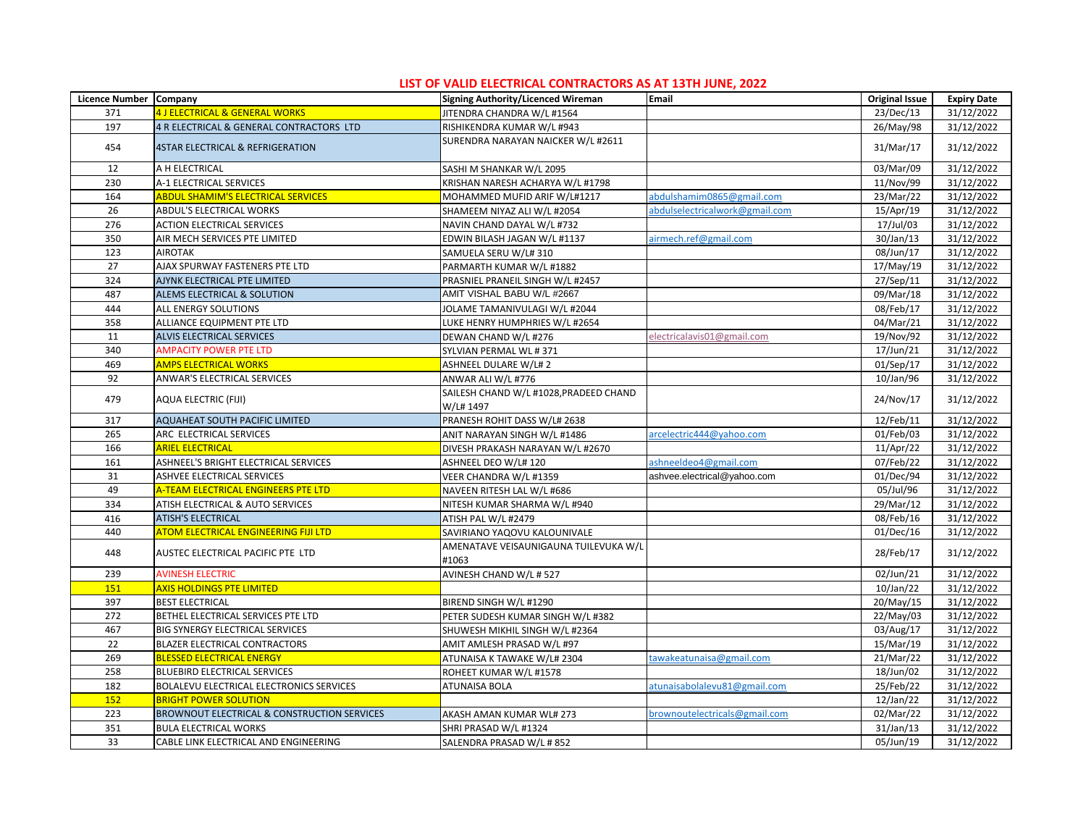| Licence Number Company |                                             | Signing Authority/Licenced Wireman                  | Email                          | <b>Original Issue</b>   | <b>Expiry Date</b> |
|------------------------|---------------------------------------------|-----------------------------------------------------|--------------------------------|-------------------------|--------------------|
| 371                    | <b>4 J ELECTRICAL &amp; GENERAL WORKS</b>   | JITENDRA CHANDRA W/L #1564                          |                                | 23/Dec/13               | 31/12/2022         |
| 197                    | 4 R ELECTRICAL & GENERAL CONTRACTORS LTD    | RISHIKENDRA KUMAR W/L #943                          |                                | 26/May/98               | 31/12/2022         |
| 454                    | <b>4STAR ELECTRICAL &amp; REFRIGERATION</b> | SURENDRA NARAYAN NAICKER W/L #2611                  |                                | 31/Mar/17               | 31/12/2022         |
| 12                     | A H ELECTRICAL                              | SASHI M SHANKAR W/L 2095                            |                                | 03/Mar/09               | 31/12/2022         |
| 230                    | A-1 ELECTRICAL SERVICES                     | KRISHAN NARESH ACHARYA W/L #1798                    |                                | 11/Nov/99               | 31/12/2022         |
| 164                    | <b>ABDUL SHAMIM'S ELECTRICAL SERVICES</b>   | MOHAMMED MUFID ARIF W/L#1217                        | abdulshamim0865@gmail.com      | 23/Mar/22               | 31/12/2022         |
| 26                     | ABDUL'S ELECTRICAL WORKS                    | SHAMEEM NIYAZ ALI W/L #2054                         | abdulselectricalwork@gmail.com | 15/Apr/19               | 31/12/2022         |
| 276                    | <b>ACTION ELECTRICAL SERVICES</b>           | NAVIN CHAND DAYAL W/L #732                          |                                | 17/Jul/03               | 31/12/2022         |
| 350                    | AIR MECH SERVICES PTE LIMITED               | EDWIN BILASH JAGAN W/L #1137                        | airmech.ref@gmail.com          | 30/Jan/13               | 31/12/2022         |
| 123                    | <b>AIROTAK</b>                              | SAMUELA SERU W/L# 310                               |                                | 08/Jun/17               | 31/12/2022         |
| 27                     | AJAX SPURWAY FASTENERS PTE LTD              | PARMARTH KUMAR W/L #1882                            |                                | 17/May/19               | 31/12/2022         |
| 324                    | AJYNK ELECTRICAL PTE LIMITED                | PRASNIEL PRANEIL SINGH W/L #2457                    |                                | 27/Sep/11               | 31/12/2022         |
| 487                    | ALEMS ELECTRICAL & SOLUTION                 | AMIT VISHAL BABU W/L #2667                          |                                | 09/Mar/18               | 31/12/2022         |
| 444                    | ALL ENERGY SOLUTIONS                        | JOLAME TAMANIVULAGI W/L #2044                       |                                | 08/Feb/17               | 31/12/2022         |
| 358                    | ALLIANCE EQUIPMENT PTE LTD                  | LUKE HENRY HUMPHRIES W/L #2654                      |                                | 04/Mar/21               | 31/12/2022         |
| 11                     | ALVIS ELECTRICAL SERVICES                   | DEWAN CHAND W/L #276                                | electricalavis01@gmail.com     | 19/Nov/92               | 31/12/2022         |
| 340                    | AMPACITY POWER PTE LTD                      | SYLVIAN PERMAL WL #371                              |                                | $\overline{17}/$ Jun/21 | 31/12/2022         |
| 469                    | <b>AMPS ELECTRICAL WORKS</b>                | ASHNEEL DULARE W/L#2                                |                                | 01/Sep/17               | 31/12/2022         |
| 92                     | ANWAR'S ELECTRICAL SERVICES                 | ANWAR ALI W/L #776                                  |                                | 10/Jan/96               | 31/12/2022         |
| 479                    | AQUA ELECTRIC (FIJI)                        | SAILESH CHAND W/L #1028, PRADEED CHAND<br>W/L# 1497 |                                | 24/Nov/17               | 31/12/2022         |
| 317                    | AQUAHEAT SOUTH PACIFIC LIMITED              | PRANESH ROHIT DASS W/L# 2638                        |                                | 12/Feb/11               | 31/12/2022         |
| 265                    | ARC ELECTRICAL SERVICES                     | ANIT NARAYAN SINGH W/L #1486                        | arcelectric444@yahoo.com       | 01/Feb/03               | 31/12/2022         |
| 166                    | <b>ARIEL ELECTRICAL</b>                     | DIVESH PRAKASH NARAYAN W/L #2670                    |                                | 11/Apr/22               | 31/12/2022         |
| 161                    | ASHNEEL'S BRIGHT ELECTRICAL SERVICES        | ASHNEEL DEO W/L# 120                                | ashneeldeo4@gmail.com          | 07/Feb/22               | 31/12/2022         |
| 31                     | ASHVEE ELECTRICAL SERVICES                  | VEER CHANDRA W/L #1359                              | ashvee.electrical@yahoo.com    | 01/Dec/94               | 31/12/2022         |
| 49                     | A-TEAM ELECTRICAL ENGINEERS PTE LTD         | NAVEEN RITESH LAL W/L #686                          |                                | 05/Jul/96               | 31/12/2022         |
| 334                    | ATISH ELECTRICAL & AUTO SERVICES            | NITESH KUMAR SHARMA W/L #940                        |                                | 29/Mar/12               | 31/12/2022         |
| 416                    | <b>ATISH'S ELECTRICAL</b>                   | ATISH PAL W/L #2479                                 |                                | 08/Feb/16               | 31/12/2022         |
| 440                    | ATOM ELECTRICAL ENGINEERING FIJI LTD        | SAVIRIANO YAQOVU KALOUNIVALE                        |                                | 01/Dec/16               | 31/12/2022         |
| 448                    | AUSTEC ELECTRICAL PACIFIC PTE LTD           | AMENATAVE VEISAUNIGAUNA TUILEVUKA W/L<br>#1063      |                                | 28/Feb/17               | 31/12/2022         |
| 239                    | <b>AVINESH ELECTRIC</b>                     | AVINESH CHAND W/L # 527                             |                                | 02/Jun/21               | 31/12/2022         |
| 151                    | <b>AXIS HOLDINGS PTE LIMITED</b>            |                                                     |                                | 10/Jan/22               | 31/12/2022         |
| 397                    | <b>BEST ELECTRICAL</b>                      | BIREND SINGH W/L #1290                              |                                | 20/May/15               | 31/12/2022         |
| 272                    | BETHEL ELECTRICAL SERVICES PTE LTD          | PETER SUDESH KUMAR SINGH W/L #382                   |                                | 22/May/03               | 31/12/2022         |
| 467                    | BIG SYNERGY ELECTRICAL SERVICES             | SHUWESH MIKHIL SINGH W/L #2364                      |                                | 03/Aug/17               | 31/12/2022         |
| 22                     | BLAZER ELECTRICAL CONTRACTORS               | AMIT AMLESH PRASAD W/L #97                          |                                | 15/Mar/19               | 31/12/2022         |
| 269                    | <b>BLESSED ELECTRICAL ENERGY</b>            | ATUNAISA K TAWAKE W/L# 2304                         | tawakeatunaisa@gmail.com       | 21/Mar/22               | 31/12/2022         |
| 258                    | <b>BLUEBIRD ELECTRICAL SERVICES</b>         | ROHEET KUMAR W/L #1578                              |                                | 18/Jun/02               | 31/12/2022         |
| 182                    | BOLALEVU ELECTRICAL ELECTRONICS SERVICES    | <b>ATUNAISA BOLA</b>                                | atunaisabolalevu81@gmail.com   | 25/Feb/22               | 31/12/2022         |
| 152                    | <b>BRIGHT POWER SOLUTION</b>                |                                                     |                                | 12/Jan/22               | 31/12/2022         |
| 223                    | BROWNOUT ELECTRICAL & CONSTRUCTION SERVICES | AKASH AMAN KUMAR WL# 273                            | orownoutelectricals@gmail.com  | 02/Mar/22               | 31/12/2022         |
| 351                    | <b>BULA ELECTRICAL WORKS</b>                | SHRI PRASAD W/L #1324                               |                                | $31/$ Jan $/13$         | 31/12/2022         |
| 33                     | CABLE LINK ELECTRICAL AND ENGINEERING       | SALENDRA PRASAD W/L # 852                           |                                | 05/Jun/19               | 31/12/2022         |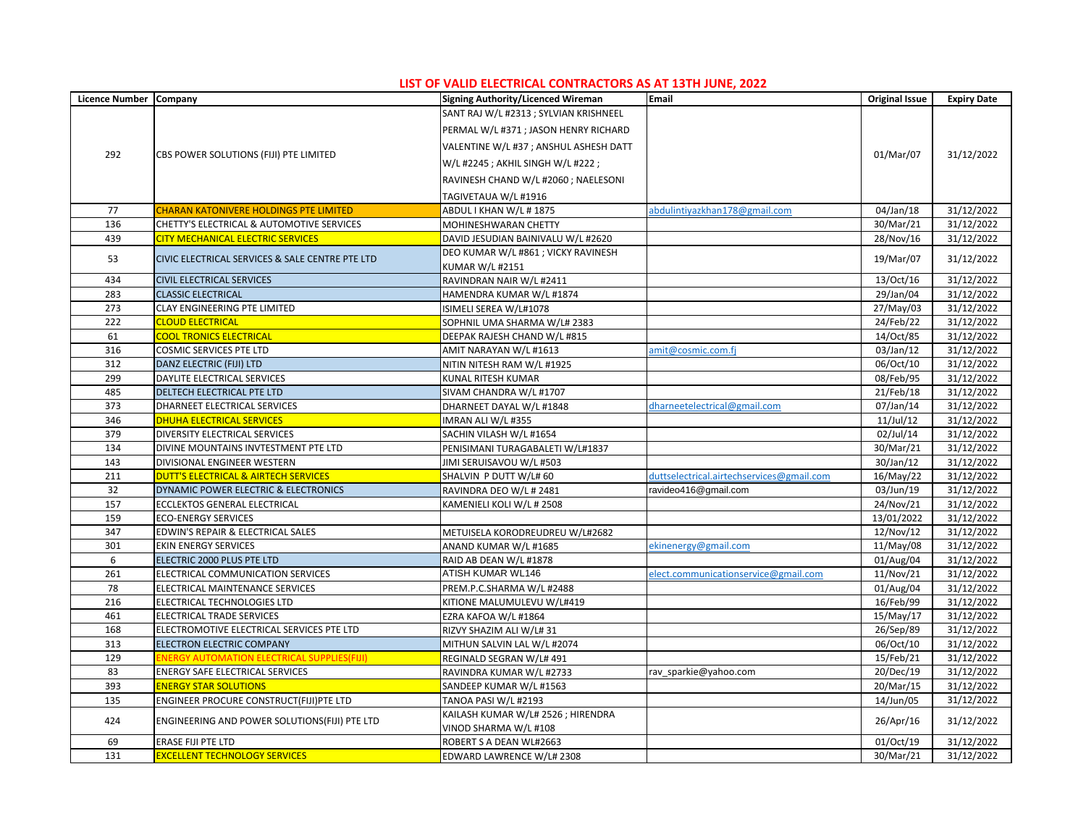| Licence Number Company |                                                     | Signing Authority/Licenced Wireman     | Email                                     | <b>Original Issue</b> | <b>Expiry Date</b> |
|------------------------|-----------------------------------------------------|----------------------------------------|-------------------------------------------|-----------------------|--------------------|
|                        |                                                     | SANT RAJ W/L #2313 ; SYLVIAN KRISHNEEL |                                           |                       |                    |
|                        |                                                     | PERMAL W/L #371 ; JASON HENRY RICHARD  |                                           |                       |                    |
|                        |                                                     | VALENTINE W/L #37 ; ANSHUL ASHESH DATT |                                           |                       |                    |
| 292                    | CBS POWER SOLUTIONS (FIJI) PTE LIMITED              | W/L #2245 ; AKHIL SINGH W/L #222 ;     |                                           | 01/Mar/07             | 31/12/2022         |
|                        |                                                     | RAVINESH CHAND W/L #2060 ; NAELESONI   |                                           |                       |                    |
|                        |                                                     | TAGIVETAUA W/L #1916                   |                                           |                       |                    |
| 77                     | <b>CHARAN KATONIVERE HOLDINGS PTE LIMITED</b>       | ABDUL I KHAN W/L # 1875                | abdulintiyazkhan178@gmail.com             | 04/Jan/18             | 31/12/2022         |
| 136                    | CHETTY'S ELECTRICAL & AUTOMOTIVE SERVICES           | MOHINESHWARAN CHETTY                   |                                           | 30/Mar/21             | 31/12/2022         |
| 439                    | <b>CITY MECHANICAL ELECTRIC SERVICES</b>            | DAVID JESUDIAN BAINIVALU W/L #2620     |                                           | 28/Nov/16             | 31/12/2022         |
|                        |                                                     | DEO KUMAR W/L #861 ; VICKY RAVINESH    |                                           |                       |                    |
| 53                     | CIVIC ELECTRICAL SERVICES & SALE CENTRE PTE LTD     | KUMAR W/L #2151                        |                                           | 19/Mar/07             | 31/12/2022         |
| 434                    | <b>CIVIL ELECTRICAL SERVICES</b>                    | RAVINDRAN NAIR W/L #2411               |                                           | 13/Oct/16             | 31/12/2022         |
| 283                    | <b>CLASSIC ELECTRICAL</b>                           | HAMENDRA KUMAR W/L #1874               |                                           | 29/Jan/04             | 31/12/2022         |
| 273                    | CLAY ENGINEERING PTE LIMITED                        | ISIMELI SEREA W/L#1078                 |                                           | 27/May/03             | 31/12/2022         |
| 222                    | <b>CLOUD ELECTRICAL</b>                             | SOPHNIL UMA SHARMA W/L# 2383           |                                           | 24/Feb/22             | 31/12/2022         |
| 61                     | <b>COOL TRONICS ELECTRICAL</b>                      | DEEPAK RAJESH CHAND W/L #815           |                                           | 14/Oct/85             | 31/12/2022         |
| 316                    | <b>COSMIC SERVICES PTE LTD</b>                      | AMIT NARAYAN W/L #1613                 | amit@cosmic.com.fj                        | 03/Jan/12             | 31/12/2022         |
| 312                    | DANZ ELECTRIC (FIJI) LTD                            | NITIN NITESH RAM W/L #1925             |                                           | 06/Oct/10             | 31/12/2022         |
| 299                    | DAYLITE ELECTRICAL SERVICES                         | KUNAL RITESH KUMAR                     |                                           | 08/Feb/95             | 31/12/2022         |
| 485                    | DELTECH ELECTRICAL PTE LTD                          | SIVAM CHANDRA W/L #1707                |                                           | 21/Feb/18             | 31/12/2022         |
| 373                    | DHARNEET ELECTRICAL SERVICES                        | DHARNEET DAYAL W/L #1848               | dharneetelectrical@gmail.com              | 07/Jan/14             | 31/12/2022         |
| 346                    | <b>DHUHA ELECTRICAL SERVICES</b>                    | IMRAN ALI W/L #355                     |                                           | $11$ /Jul/12          | 31/12/2022         |
| 379                    | DIVERSITY ELECTRICAL SERVICES                       | SACHIN VILASH W/L #1654                |                                           | 02/Jul/14             | 31/12/2022         |
| 134                    | DIVINE MOUNTAINS INVTESTMENT PTE LTD                | PENISIMANI TURAGABALETI W/L#1837       |                                           | 30/Mar/21             | 31/12/2022         |
| 143                    | DIVISIONAL ENGINEER WESTERN                         | JIMI SERUISAVOU W/L #503               |                                           | 30/Jan/12             | 31/12/2022         |
| 211                    | <b>DUTT'S ELECTRICAL &amp; AIRTECH SERVICES</b>     | SHALVIN P DUTT W/L# 60                 | duttselectrical.airtechservices@gmail.com | 16/May/22             | 31/12/2022         |
| 32                     | DYNAMIC POWER ELECTRIC & ELECTRONICS                | RAVINDRA DEO W/L # 2481                | ravideo416@gmail.com                      | 03/Jun/19             | 31/12/2022         |
| 157                    | ECCLEKTOS GENERAL ELECTRICAL                        | KAMENIELI KOLI W/L # 2508              |                                           | 24/Nov/21             | 31/12/2022         |
| 159                    | <b>ECO-ENERGY SERVICES</b>                          |                                        |                                           | 13/01/2022            | 31/12/2022         |
| 347                    | EDWIN'S REPAIR & ELECTRICAL SALES                   | METUISELA KORODREUDREU W/L#2682        |                                           | 12/Nov/12             | 31/12/2022         |
| 301                    | <b>EKIN ENERGY SERVICES</b>                         | ANAND KUMAR W/L #1685                  | ekinenergy@gmail.com                      | 11/May/08             | 31/12/2022         |
| 6                      | ELECTRIC 2000 PLUS PTE LTD                          | RAID AB DEAN W/L #1878                 |                                           | 01/Aug/04             | 31/12/2022         |
| 261                    | ELECTRICAL COMMUNICATION SERVICES                   | ATISH KUMAR WL146                      | elect.communicationservice@gmail.com      | 11/Nov/21             | 31/12/2022         |
| 78                     | ELECTRICAL MAINTENANCE SERVICES                     | PREM.P.C.SHARMA W/L #2488              |                                           | 01/Aug/04             | 31/12/2022         |
| 216                    | ELECTRICAL TECHNOLOGIES LTD                         | KITIONE MALUMULEVU W/L#419             |                                           | 16/Feb/99             | 31/12/2022         |
| 461                    | ELECTRICAL TRADE SERVICES                           | EZRA KAFOA W/L #1864                   |                                           | 15/May/17             | 31/12/2022         |
| 168                    | ELECTROMOTIVE ELECTRICAL SERVICES PTE LTD           | RIZVY SHAZIM ALI W/L#31                |                                           | 26/Sep/89             | 31/12/2022         |
| 313                    | ELECTRON ELECTRIC COMPANY                           | MITHUN SALVIN LAL W/L #2074            |                                           | 06/Oct/10             | 31/12/2022         |
| 129                    | <b>ENERGY AUTOMATION ELECTRICAL SUPPLIES (FIJI)</b> | REGINALD SEGRAN W/L# 491               |                                           | 15/Feb/21             | 31/12/2022         |
| 83                     | ENERGY SAFE ELECTRICAL SERVICES                     | RAVINDRA KUMAR W/L #2733               | rav_sparkie@yahoo.com                     | 20/Dec/19             | 31/12/2022         |
| 393                    | <b>ENERGY STAR SOLUTIONS</b>                        | SANDEEP KUMAR W/L #1563                |                                           | 20/Mar/15             | 31/12/2022         |
| 135                    | ENGINEER PROCURE CONSTRUCT(FIJI)PTE LTD             | TANOA PASI W/L #2193                   |                                           | 14/Jun/05             | 31/12/2022         |
|                        |                                                     | KAILASH KUMAR W/L# 2526 ; HIRENDRA     |                                           | 26/Apr/16             | 31/12/2022         |
| 424                    | ENGINEERING AND POWER SOLUTIONS(FIJI) PTE LTD       | VINOD SHARMA W/L #108                  |                                           |                       |                    |
| 69                     | ERASE FIJI PTE LTD                                  | ROBERT S A DEAN WL#2663                |                                           | 01/Oct/19             | 31/12/2022         |
| 131                    | <b>EXCELLENT TECHNOLOGY SERVICES</b>                | EDWARD LAWRENCE W/L# 2308              |                                           | 30/Mar/21             | 31/12/2022         |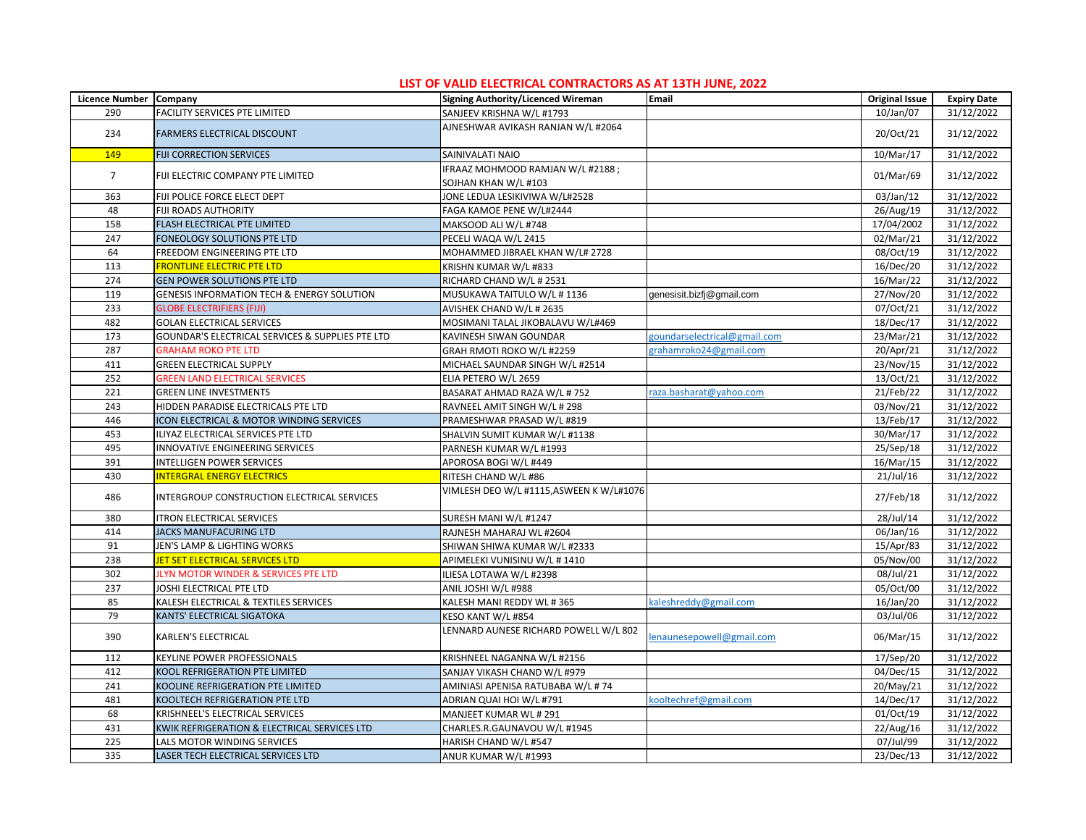| Licence Number Company |                                                  | Signing Authority/Licenced Wireman                       | Email                        | <b>Original Issue</b>         | <b>Expiry Date</b> |
|------------------------|--------------------------------------------------|----------------------------------------------------------|------------------------------|-------------------------------|--------------------|
| 290                    | FACILITY SERVICES PTE LIMITED                    | SANJEEV KRISHNA W/L #1793                                |                              | 10/Jan/07                     | 31/12/2022         |
| 234                    | <b>FARMERS ELECTRICAL DISCOUNT</b>               | AJNESHWAR AVIKASH RANJAN W/L #2064                       |                              | 20/Oct/21                     | 31/12/2022         |
| 149                    | <b>FIJI CORRECTION SERVICES</b>                  | SAINIVALATI NAIO                                         |                              | 10/Mar/17                     | 31/12/2022         |
| $\overline{7}$         | FIJI ELECTRIC COMPANY PTE LIMITED                | IFRAAZ MOHMOOD RAMJAN W/L #2188;<br>SOJHAN KHAN W/L #103 |                              | 01/Mar/69                     | 31/12/2022         |
| 363                    | FIJI POLICE FORCE ELECT DEPT                     | JONE LEDUA LESIKIVIWA W/L#2528                           |                              | 03/Jan/12                     | 31/12/2022         |
| 48                     | <b>FIJI ROADS AUTHORITY</b>                      | FAGA KAMOE PENE W/L#2444                                 |                              | $\overline{26/Aug}/19$        | 31/12/2022         |
| 158                    | FLASH ELECTRICAL PTE LIMITED                     | MAKSOOD ALI W/L #748                                     |                              | 17/04/2002                    | 31/12/2022         |
| 247                    | FONEOLOGY SOLUTIONS PTE LTD                      | PECELI WAQA W/L 2415                                     |                              | 02/Mar/21                     | 31/12/2022         |
| 64                     | FREEDOM ENGINEERING PTE LTD                      | MOHAMMED JIBRAEL KHAN W/L# 2728                          |                              | 08/Oct/19                     | 31/12/2022         |
| 113                    | <b>FRONTLINE ELECTRIC PTE LTD</b>                | KRISHN KUMAR W/L #833                                    |                              | $\overline{16}/\text{Dec}/20$ | 31/12/2022         |
| 274                    | <b>GEN POWER SOLUTIONS PTE LTD</b>               | RICHARD CHAND W/L # 2531                                 |                              | 16/Mar/22                     | 31/12/2022         |
| 119                    | GENESIS INFORMATION TECH & ENERGY SOLUTION       | MUSUKAWA TAITULO W/L #1136                               | genesisit.bizfj@gmail.com    | 27/Nov/20                     | 31/12/2022         |
| 233                    | <b>GLOBE ELECTRIFIERS (FIJI)</b>                 | AVISHEK CHAND W/L # 2635                                 |                              | 07/Oct/21                     | 31/12/2022         |
| 482                    | <b>GOLAN ELECTRICAL SERVICES</b>                 | MOSIMANI TALAL JIKOBALAVU W/L#469                        |                              | 18/Dec/17                     | 31/12/2022         |
| 173                    | GOUNDAR'S ELECTRICAL SERVICES & SUPPLIES PTE LTD | KAVINESH SIWAN GOUNDAR                                   | goundarselectrical@gmail.com | 23/Mar/21                     | 31/12/2022         |
| 287                    | <b>GRAHAM ROKO PTE LTD</b>                       | GRAH RMOTI ROKO W/L #2259                                | grahamroko24@gmail.com       | 20/Apr/21                     | 31/12/2022         |
| 411                    | <b>GREEN ELECTRICAL SUPPLY</b>                   | MICHAEL SAUNDAR SINGH W/L #2514                          |                              | 23/Nov/15                     | 31/12/2022         |
| 252                    | <b>GREEN LAND ELECTRICAL SERVICES</b>            | ELIA PETERO W/L 2659                                     |                              | 13/Oct/21                     | 31/12/2022         |
| 221                    | <b>GREEN LINE INVESTMENTS</b>                    | BASARAT AHMAD RAZA W/L # 752                             | raza.basharat@yahoo.com      | 21/Feb/22                     | 31/12/2022         |
| 243                    | HIDDEN PARADISE ELECTRICALS PTE LTD              | RAVNEEL AMIT SINGH W/L # 298                             |                              | 03/Nov/21                     | 31/12/2022         |
| 446                    | ICON ELECTRICAL & MOTOR WINDING SERVICES         | PRAMESHWAR PRASAD W/L #819                               |                              | 13/Feb/17                     | 31/12/2022         |
| 453                    | ILIYAZ ELECTRICAL SERVICES PTE LTD               | SHALVIN SUMIT KUMAR W/L #1138                            |                              | 30/Mar/17                     | 31/12/2022         |
| 495                    | INNOVATIVE ENGINEERING SERVICES                  | PARNESH KUMAR W/L #1993                                  |                              | 25/Sep/18                     | 31/12/2022         |
| 391                    | <b>INTELLIGEN POWER SERVICES</b>                 | APOROSA BOGI W/L #449                                    |                              | 16/Mar/15                     | 31/12/2022         |
| 430                    | <b>INTERGRAL ENERGY ELECTRICS</b>                | RITESH CHAND W/L #86                                     |                              | 21/Jul/16                     | 31/12/2022         |
| 486                    | INTERGROUP CONSTRUCTION ELECTRICAL SERVICES      | VIMLESH DEO W/L #1115,ASWEEN K W/L#1076                  |                              | 27/Feb/18                     | 31/12/2022         |
| 380                    | <b>ITRON ELECTRICAL SERVICES</b>                 | SURESH MANI W/L #1247                                    |                              | 28/Jul/14                     | 31/12/2022         |
| 414                    | <b>JACKS MANUFACURING LTD</b>                    | RAJNESH MAHARAJ WL #2604                                 |                              | 06/Jan/16                     | 31/12/2022         |
| 91                     | JEN'S LAMP & LIGHTING WORKS                      | SHIWAN SHIWA KUMAR W/L #2333                             |                              | 15/Apr/83                     | 31/12/2022         |
| 238                    | <b>JET SET ELECTRICAL SERVICES LTD</b>           | APIMELEKI VUNISINU W/L # 1410                            |                              | 05/Nov/00                     | 31/12/2022         |
| 302                    | JLYN MOTOR WINDER & SERVICES PTE LTD             | ILIESA LOTAWA W/L #2398                                  |                              | 08/Jul/21                     | 31/12/2022         |
| 237                    | JOSHI ELECTRICAL PTE LTD                         | ANIL JOSHI W/L #988                                      |                              | 05/Oct/00                     | 31/12/2022         |
| 85                     | KALESH ELECTRICAL & TEXTILES SERVICES            | KALESH MANI REDDY WL #365                                | kaleshreddy@gmail.com        | 16/Jan/20                     | 31/12/2022         |
| 79                     | KANTS' ELECTRICAL SIGATOKA                       | KESO KANT W/L #854                                       |                              | 03/Jul/06                     | 31/12/2022         |
| 390                    | KARLEN'S ELECTRICAL                              | LENNARD AUNESE RICHARD POWELL W/L 802                    | enaunesepowell@gmail.com     | 06/Mar/15                     | 31/12/2022         |
| 112                    | <b>KEYLINE POWER PROFESSIONALS</b>               | KRISHNEEL NAGANNA W/L #2156                              |                              | 17/Sep/20                     | 31/12/2022         |
| 412                    | <b>KOOL REFRIGERATION PTE LIMITED</b>            | SANJAY VIKASH CHAND W/L #979                             |                              | 04/Dec/15                     | 31/12/2022         |
| 241                    | KOOLINE REFRIGERATION PTE LIMITED                | AMINIASI APENISA RATUBABA W/L #74                        |                              | 20/May/21                     | 31/12/2022         |
| 481                    | KOOLTECH REFRIGERATION PTE LTD                   | ADRIAN QUAI HOI W/L #791                                 | kooltechref@gmail.com        | 14/Dec/17                     | 31/12/2022         |
| 68                     | KRISHNEEL'S ELECTRICAL SERVICES                  | MANJEET KUMAR WL #291                                    |                              | 01/Oct/19                     | 31/12/2022         |
| 431                    | KWIK REFRIGERATION & ELECTRICAL SERVICES LTD     | CHARLES.R.GAUNAVOU W/L #1945                             |                              | 22/Aug/16                     | 31/12/2022         |
| 225                    | LALS MOTOR WINDING SERVICES                      | HARISH CHAND W/L #547                                    |                              | 07/Jul/99                     | 31/12/2022         |
| 335                    | LASER TECH ELECTRICAL SERVICES LTD               | ANUR KUMAR W/L #1993                                     |                              | 23/Dec/13                     | 31/12/2022         |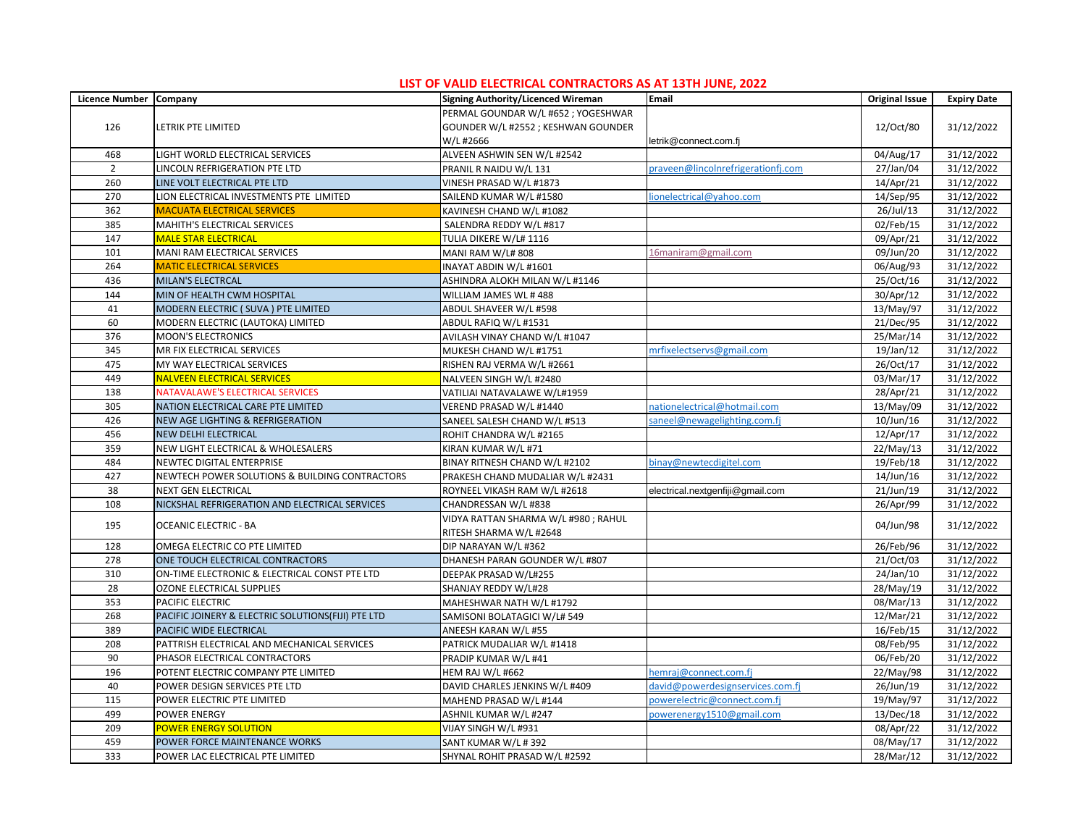| Licence Number Company |                                                    | Signing Authority/Licenced Wireman  | Email                              | <b>Original Issue</b> | <b>Expiry Date</b> |
|------------------------|----------------------------------------------------|-------------------------------------|------------------------------------|-----------------------|--------------------|
|                        |                                                    | PERMAL GOUNDAR W/L #652 ; YOGESHWAR |                                    |                       |                    |
| 126                    | LETRIK PTE LIMITED                                 | GOUNDER W/L #2552 ; KESHWAN GOUNDER |                                    | 12/Oct/80             | 31/12/2022         |
|                        |                                                    | W/L #2666                           | letrik@connect.com.fj              |                       |                    |
| 468                    | LIGHT WORLD ELECTRICAL SERVICES                    | ALVEEN ASHWIN SEN W/L #2542         |                                    | 04/Aug/17             | 31/12/2022         |
| $\overline{2}$         | LINCOLN REFRIGERATION PTE LTD                      | PRANIL R NAIDU W/L 131              | praveen@lincolnrefrigerationfj.com | 27/Jan/04             | 31/12/2022         |
| 260                    | LINE VOLT ELECTRICAL PTE LTD                       | VINESH PRASAD W/L #1873             |                                    | 14/Apr/21             | 31/12/2022         |
| 270                    | LION ELECTRICAL INVESTMENTS PTE LIMITED            | SAILEND KUMAR W/L #1580             | lionelectrical@yahoo.com           | 14/Sep/95             | 31/12/2022         |
| 362                    | <b>MACUATA ELECTRICAL SERVICES</b>                 | KAVINESH CHAND W/L #1082            |                                    | 26/Jul/13             | 31/12/2022         |
| 385                    | MAHITH'S ELECTRICAL SERVICES                       | SALENDRA REDDY W/L #817             |                                    | 02/Feb/15             | 31/12/2022         |
| 147                    | <b>MALE STAR ELECTRICAL</b>                        | TULIA DIKERE W/L# 1116              |                                    | 09/Apr/21             | 31/12/2022         |
| 101                    | MANI RAM ELECTRICAL SERVICES                       | MANI RAM W/L# 808                   | 16maniram@gmail.com                | 09/Jun/20             | 31/12/2022         |
| 264                    | <b>MATIC ELECTRICAL SERVICES</b>                   | INAYAT ABDIN W/L #1601              |                                    | 06/Aug/93             | 31/12/2022         |
| 436                    | <b>MILAN'S ELECTRCAL</b>                           | ASHINDRA ALOKH MILAN W/L #1146      |                                    | 25/Oct/16             | 31/12/2022         |
| 144                    | MIN OF HEALTH CWM HOSPITAL                         | WILLIAM JAMES WL #488               |                                    | 30/Apr/12             | 31/12/2022         |
| 41                     | MODERN ELECTRIC ( SUVA ) PTE LIMITED               | ABDUL SHAVEER W/L #598              |                                    | 13/May/97             | 31/12/2022         |
| 60                     | MODERN ELECTRIC (LAUTOKA) LIMITED                  | ABDUL RAFIQ W/L #1531               |                                    | 21/Dec/95             | 31/12/2022         |
| 376                    | <b>MOON'S ELECTRONICS</b>                          | AVILASH VINAY CHAND W/L #1047       |                                    | 25/Mar/14             | 31/12/2022         |
| 345                    | MR FIX ELECTRICAL SERVICES                         | MUKESH CHAND W/L #1751              | mrfixelectservs@gmail.com          | 19/Jan/12             | 31/12/2022         |
| 475                    | MY WAY ELECTRICAL SERVICES                         | RISHEN RAJ VERMA W/L #2661          |                                    | 26/Oct/17             | 31/12/2022         |
| 449                    | <b>NALVEEN ELECTRICAL SERVICES</b>                 | NALVEEN SINGH W/L #2480             |                                    | 03/Mar/17             | 31/12/2022         |
| 138                    | NATAVALAWE'S ELECTRICAL SERVICES                   | VATILIAI NATAVALAWE W/L#1959        |                                    | 28/Apr/21             | 31/12/2022         |
| 305                    | NATION ELECTRICAL CARE PTE LIMITED                 | VEREND PRASAD W/L #1440             | nationelectrical@hotmail.com       | 13/May/09             | 31/12/2022         |
| 426                    | NEW AGE LIGHTING & REFRIGERATION                   | SANEEL SALESH CHAND W/L #513        | saneel@newagelighting.com.fj       | 10/Jun/16             | 31/12/2022         |
| 456                    | <b>NEW DELHI ELECTRICAL</b>                        | ROHIT CHANDRA W/L #2165             |                                    | 12/Apr/17             | 31/12/2022         |
| 359                    | NEW LIGHT ELECTRICAL & WHOLESALERS                 | KIRAN KUMAR W/L #71                 |                                    | 22/May/13             | 31/12/2022         |
| 484                    | NEWTEC DIGITAL ENTERPRISE                          | BINAY RITNESH CHAND W/L #2102       | binay@newtecdigitel.com            | 19/Feb/18             | 31/12/2022         |
| 427                    | NEWTECH POWER SOLUTIONS & BUILDING CONTRACTORS     | PRAKESH CHAND MUDALIAR W/L #2431    |                                    | 14/Jun/16             | 31/12/2022         |
| 38                     | <b>NEXT GEN ELECTRICAL</b>                         | ROYNEEL VIKASH RAM W/L #2618        | electrical.nextgenfiji@gmail.com   | 21/Jun/19             | 31/12/2022         |
| 108                    | NICKSHAL REFRIGERATION AND ELECTRICAL SERVICES     | CHANDRESSAN W/L #838                |                                    | 26/Apr/99             | 31/12/2022         |
|                        |                                                    | VIDYA RATTAN SHARMA W/L #980; RAHUL |                                    |                       |                    |
| 195                    | <b>OCEANIC ELECTRIC - BA</b>                       | RITESH SHARMA W/L #2648             |                                    | 04/Jun/98             | 31/12/2022         |
| 128                    | OMEGA ELECTRIC CO PTE LIMITED                      | DIP NARAYAN W/L #362                |                                    | 26/Feb/96             | 31/12/2022         |
| 278                    | ONE TOUCH ELECTRICAL CONTRACTORS                   | DHANESH PARAN GOUNDER W/L #807      |                                    | 21/Oct/03             | 31/12/2022         |
| 310                    | ON-TIME ELECTRONIC & ELECTRICAL CONST PTE LTD      | DEEPAK PRASAD W/L#255               |                                    | 24/Jan/10             | 31/12/2022         |
| 28                     | OZONE ELECTRICAL SUPPLIES                          | SHANJAY REDDY W/L#28                |                                    | 28/May/19             | 31/12/2022         |
| 353                    | PACIFIC ELECTRIC                                   | MAHESHWAR NATH W/L #1792            |                                    | 08/Mar/13             | 31/12/2022         |
| 268                    | PACIFIC JOINERY & ELECTRIC SOLUTIONS(FIJI) PTE LTD | SAMISONI BOLATAGICI W/L# 549        |                                    | 12/Mar/21             | 31/12/2022         |
| 389                    | PACIFIC WIDE ELECTRICAL                            | ANEESH KARAN W/L #55                |                                    | 16/Feb/15             | 31/12/2022         |
| 208                    | PATTRISH ELECTRICAL AND MECHANICAL SERVICES        | PATRICK MUDALIAR W/L #1418          |                                    | 08/Feb/95             | 31/12/2022         |
| 90                     | PHASOR ELECTRICAL CONTRACTORS                      | PRADIP KUMAR W/L #41                |                                    | 06/Feb/20             | 31/12/2022         |
| 196                    | POTENT ELECTRIC COMPANY PTE LIMITED                | <b>HEM RAJ W/L #662</b>             | hemraj@connect.com.fj              | 22/May/98             | 31/12/2022         |
| 40                     | POWER DESIGN SERVICES PTE LTD                      | DAVID CHARLES JENKINS W/L #409      | david@powerdesignservices.com.fj   | 26/Jun/19             | 31/12/2022         |
| 115                    | POWER ELECTRIC PTE LIMITED                         | MAHEND PRASAD W/L #144              | oowerelectric@connect.com.fj       | 19/May/97             | 31/12/2022         |
| 499                    | <b>POWER ENERGY</b>                                | ASHNIL KUMAR W/L #247               | oowerenergy1510@gmail.com          | 13/Dec/18             | 31/12/2022         |
| 209                    | <b>POWER ENERGY SOLUTION</b>                       | VIJAY SINGH W/L #931                |                                    | 08/Apr/22             | 31/12/2022         |
| 459                    | POWER FORCE MAINTENANCE WORKS                      | SANT KUMAR W/L #392                 |                                    | 08/May/17             | 31/12/2022         |
| 333                    | POWER LAC ELECTRICAL PTE LIMITED                   | SHYNAL ROHIT PRASAD W/L #2592       |                                    | 28/Mar/12             | 31/12/2022         |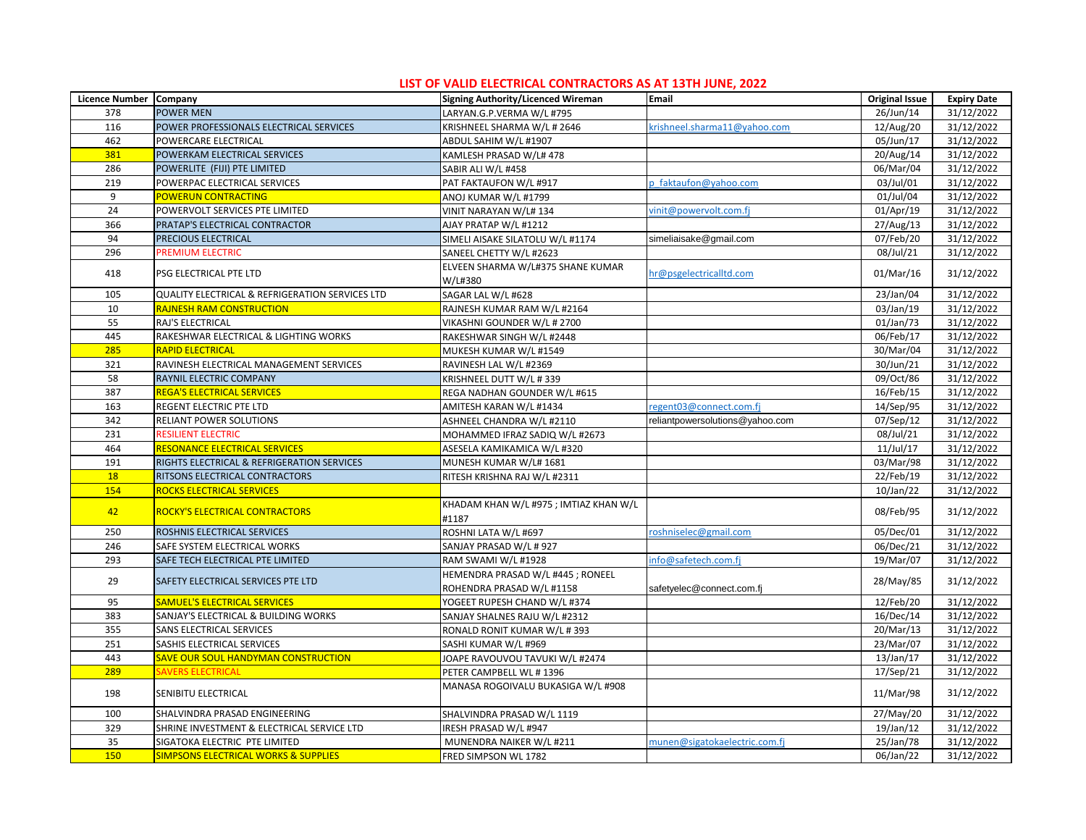| Licence Number Company |                                                 | Signing Authority/Licenced Wireman                             | <b>Email</b>                    | <b>Original Issue</b> | <b>Expiry Date</b>     |
|------------------------|-------------------------------------------------|----------------------------------------------------------------|---------------------------------|-----------------------|------------------------|
| 378                    | <b>POWER MEN</b>                                | LARYAN.G.P.VERMA W/L #795                                      |                                 | 26/Jun/14             | $\frac{1}{31}/12/2022$ |
| 116                    | POWER PROFESSIONALS ELECTRICAL SERVICES         | KRISHNEEL SHARMA W/L # 2646                                    | krishneel.sharma11@yahoo.com    | 12/Aug/20             | 31/12/2022             |
| 462                    | POWERCARE ELECTRICAL                            | ABDUL SAHIM W/L #1907                                          |                                 | 05/Jun/17             | 31/12/2022             |
| 381                    | POWERKAM ELECTRICAL SERVICES                    | KAMLESH PRASAD W/L# 478                                        |                                 | 20/Aug/14             | 31/12/2022             |
| 286                    | POWERLITE (FIJI) PTE LIMITED                    | SABIR ALI W/L #458                                             |                                 | 06/Mar/04             | 31/12/2022             |
| 219                    | POWERPAC ELECTRICAL SERVICES                    | PAT FAKTAUFON W/L #917                                         | p faktaufon@yahoo.com           | 03/Jul/01             | 31/12/2022             |
| 9                      | <b>POWERUN CONTRACTING</b>                      | ANOJ KUMAR W/L #1799                                           |                                 | 01/Jul/04             | 31/12/2022             |
| 24                     | POWERVOLT SERVICES PTE LIMITED                  | VINIT NARAYAN W/L# 134                                         | vinit@powervolt.com.fj          | 01/Apr/19             | 31/12/2022             |
| 366                    | PRATAP'S ELECTRICAL CONTRACTOR                  | AJAY PRATAP W/L #1212                                          |                                 | 27/Aug/13             | 31/12/2022             |
| 94                     | PRECIOUS ELECTRICAL                             | SIMELI AISAKE SILATOLU W/L #1174                               | simeliaisake@gmail.com          | 07/Feb/20             | 31/12/2022             |
| 296                    | PREMIUM ELECTRIC                                | SANEEL CHETTY W/L #2623                                        |                                 | 08/Jul/21             | 31/12/2022             |
| 418                    | PSG ELECTRICAL PTE LTD                          | ELVEEN SHARMA W/L#375 SHANE KUMAR<br>W/L#380                   | hr@psgelectricalltd.com         | 01/Mar/16             | 31/12/2022             |
| 105                    | QUALITY ELECTRICAL & REFRIGERATION SERVICES LTD | SAGAR LAL W/L #628                                             |                                 | 23/Jan/04             | 31/12/2022             |
| 10                     | <b>RAJNESH RAM CONSTRUCTION</b>                 | RAJNESH KUMAR RAM W/L #2164                                    |                                 | 03/Jan/19             | 31/12/2022             |
| 55                     | RAJ'S ELECTRICAL                                | VIKASHNI GOUNDER W/L # 2700                                    |                                 | 01/Jan/73             | 31/12/2022             |
| 445                    | RAKESHWAR ELECTRICAL & LIGHTING WORKS           | RAKESHWAR SINGH W/L #2448                                      |                                 | 06/Feb/17             | 31/12/2022             |
| 285                    | <b>RAPID ELECTRICAL</b>                         | MUKESH KUMAR W/L #1549                                         |                                 | 30/Mar/04             | 31/12/2022             |
| 321                    | RAVINESH ELECTRICAL MANAGEMENT SERVICES         | RAVINESH LAL W/L #2369                                         |                                 | 30/Jun/21             | 31/12/2022             |
| 58                     | RAYNIL ELECTRIC COMPANY                         | KRISHNEEL DUTT W/L # 339                                       |                                 | 09/Oct/86             | 31/12/2022             |
| 387                    | <b>REGA'S ELECTRICAL SERVICES</b>               | REGA NADHAN GOUNDER W/L #615                                   |                                 | 16/Feb/15             | 31/12/2022             |
| 163                    | REGENT ELECTRIC PTE LTD                         | AMITESH KARAN W/L #1434                                        | regent03@connect.com.fj         | 14/Sep/95             | 31/12/2022             |
| 342                    | RELIANT POWER SOLUTIONS                         | ASHNEEL CHANDRA W/L #2110                                      | reliantpowersolutions@yahoo.com | 07/Sep/12             | 31/12/2022             |
| 231                    | <b>RESILIENT ELECTRIC</b>                       | MOHAMMED IFRAZ SADIQ W/L #2673                                 |                                 | 08/Jul/21             | 31/12/2022             |
| 464                    | <b>RESONANCE ELECTRICAL SERVICES</b>            | ASESELA KAMIKAMICA W/L #320                                    |                                 | $11$ /Jul/17          | 31/12/2022             |
| 191                    | RIGHTS ELECTRICAL & REFRIGERATION SERVICES      | MUNESH KUMAR W/L# 1681                                         |                                 | 03/Mar/98             | 31/12/2022             |
| <b>18</b>              | RITSONS ELECTRICAL CONTRACTORS                  | RITESH KRISHNA RAJ W/L #2311                                   |                                 | 22/Feb/19             | 31/12/2022             |
| 154                    | <b>ROCKS ELECTRICAL SERVICES</b>                |                                                                |                                 | 10/Jan/22             | 31/12/2022             |
| 42                     | ROCKY'S ELECTRICAL CONTRACTORS                  | KHADAM KHAN W/L #975 ; IMTIAZ KHAN W/L<br>#1187                |                                 | 08/Feb/95             | 31/12/2022             |
| 250                    | ROSHNIS ELECTRICAL SERVICES                     | ROSHNI LATA W/L #697                                           | roshniselec@gmail.com           | 05/Dec/01             | 31/12/2022             |
| 246                    | SAFE SYSTEM ELECTRICAL WORKS                    | SANJAY PRASAD W/L # 927                                        |                                 | 06/Dec/21             | 31/12/2022             |
| 293                    | SAFE TECH ELECTRICAL PTE LIMITED                | RAM SWAMI W/L #1928                                            | info@safetech.com.fj            | 19/Mar/07             | 31/12/2022             |
| 29                     | SAFETY ELECTRICAL SERVICES PTE LTD              | HEMENDRA PRASAD W/L #445 ; RONEEL<br>ROHENDRA PRASAD W/L #1158 | safetyelec@connect.com.fj       | 28/May/85             | 31/12/2022             |
| 95                     | <b>SAMUEL'S ELECTRICAL SERVICES</b>             | YOGEET RUPESH CHAND W/L #374                                   |                                 | 12/Feb/20             | 31/12/2022             |
| 383                    | SANJAY'S ELECTRICAL & BUILDING WORKS            | SANJAY SHALNES RAJU W/L #2312                                  |                                 | 16/Dec/14             | 31/12/2022             |
| 355                    | SANS ELECTRICAL SERVICES                        | RONALD RONIT KUMAR W/L # 393                                   |                                 | 20/Mar/13             | 31/12/2022             |
| 251                    | SASHIS ELECTRICAL SERVICES                      | SASHI KUMAR W/L #969                                           |                                 | 23/Mar/07             | 31/12/2022             |
| 443                    | SAVE OUR SOUL HANDYMAN CONSTRUCTION             | JOAPE RAVOUVOU TAVUKI W/L #2474                                |                                 | 13/Jan/17             | 31/12/2022             |
| 289                    | <b>SAVERS ELECTRICAL</b>                        | PETER CAMPBELL WL #1396                                        |                                 | 17/Sep/21             | 31/12/2022             |
| 198                    | SENIBITU ELECTRICAL                             | MANASA ROGOIVALU BUKASIGA W/L #908                             |                                 | 11/Mar/98             | 31/12/2022             |
| 100                    | SHALVINDRA PRASAD ENGINEERING                   | SHALVINDRA PRASAD W/L 1119                                     |                                 | 27/May/20             | 31/12/2022             |
| 329                    | SHRINE INVESTMENT & ELECTRICAL SERVICE LTD      | IRESH PRASAD W/L #947                                          |                                 | 19/Jan/12             | 31/12/2022             |
| 35                     | SIGATOKA ELECTRIC PTE LIMITED                   | MUNENDRA NAIKER W/L #211                                       | munen@sigatokaelectric.com.fj   | 25/Jan/78             | 31/12/2022             |
| 150                    | <b>SIMPSONS ELECTRICAL WORKS &amp; SUPPLIES</b> | FRED SIMPSON WL 1782                                           |                                 | 06/Jan/22             | 31/12/2022             |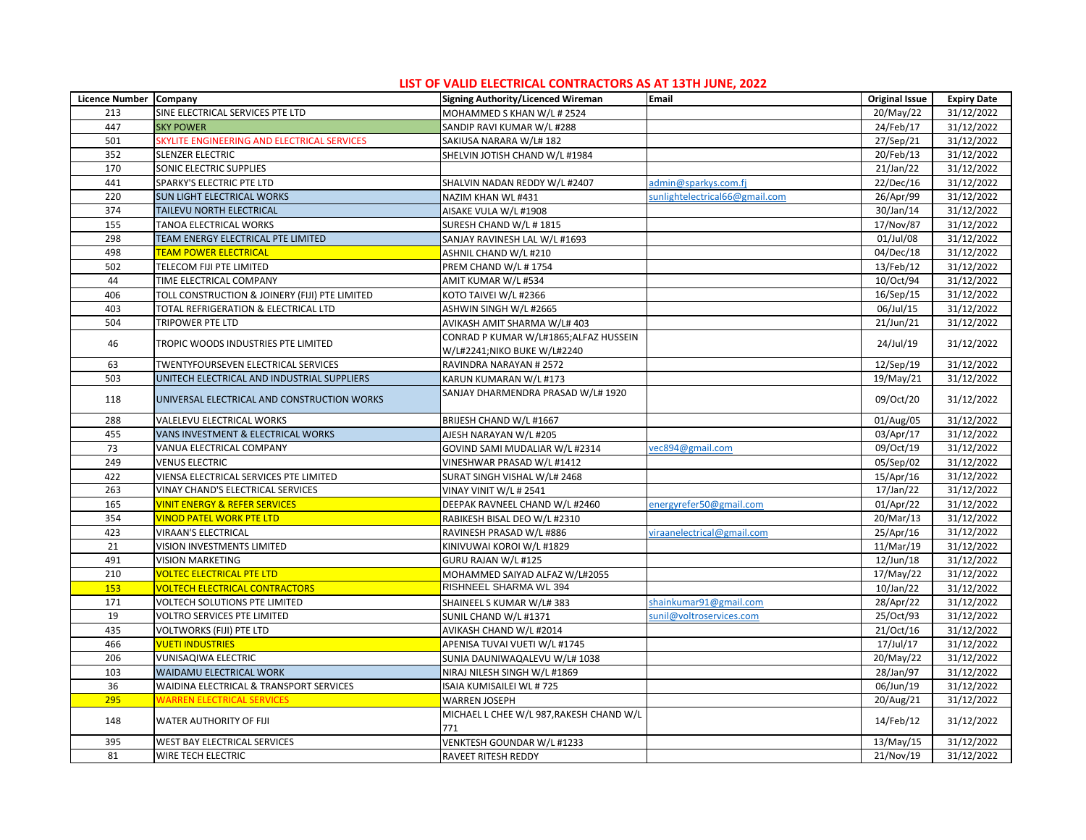| Licence Number Company |                                                | Signing Authority/Licenced Wireman              | Email                          | <b>Original Issue</b>   | <b>Expiry Date</b> |
|------------------------|------------------------------------------------|-------------------------------------------------|--------------------------------|-------------------------|--------------------|
| 213                    | SINE ELECTRICAL SERVICES PTE LTD               | MOHAMMED S KHAN W/L # 2524                      |                                | 20/May/22               | 31/12/2022         |
| 447                    | <b>SKY POWER</b>                               | SANDIP RAVI KUMAR W/L #288                      |                                | 24/Feb/17               | 31/12/2022         |
| 501                    | SKYLITE ENGINEERING AND ELECTRICAL SERVICES    | SAKIUSA NARARA W/L# 182                         |                                | 27/Sep/21               | 31/12/2022         |
| 352                    | SLENZER ELECTRIC                               | SHELVIN JOTISH CHAND W/L #1984                  |                                | 20/Feb/13               | 31/12/2022         |
| 170                    | SONIC ELECTRIC SUPPLIES                        |                                                 |                                | 21/Jan/22               | 31/12/2022         |
| 441                    | SPARKY'S ELECTRIC PTE LTD                      | SHALVIN NADAN REDDY W/L #2407                   | admin@sparkys.com.fj           | 22/Dec/16               | 31/12/2022         |
| 220                    | SUN LIGHT ELECTRICAL WORKS                     | NAZIM KHAN WL #431                              | sunlightelectrical66@gmail.com | 26/Apr/99               | 31/12/2022         |
| 374                    | TAILEVU NORTH ELECTRICAL                       | AISAKE VULA W/L #1908                           |                                | 30/Jan/14               | 31/12/2022         |
| 155                    | TANOA ELECTRICAL WORKS                         | SURESH CHAND W/L # 1815                         |                                | 17/Nov/87               | 31/12/2022         |
| 298                    | TEAM ENERGY ELECTRICAL PTE LIMITED             | SANJAY RAVINESH LAL W/L #1693                   |                                | 01/Jul/08               | 31/12/2022         |
| 498                    | <b>TEAM POWER ELECTRICAL</b>                   | ASHNIL CHAND W/L #210                           |                                | 04/Dec/18               | 31/12/2022         |
| 502                    | TELECOM FIJI PTE LIMITED                       | PREM CHAND W/L #1754                            |                                | 13/Feb/12               | 31/12/2022         |
| 44                     | TIME ELECTRICAL COMPANY                        | AMIT KUMAR W/L #534                             |                                | 10/Oct/94               | 31/12/2022         |
| 406                    | TOLL CONSTRUCTION & JOINERY (FIJI) PTE LIMITED | KOTO TAIVEI W/L #2366                           |                                | 16/Sep/15               | 31/12/2022         |
| 403                    | TOTAL REFRIGERATION & ELECTRICAL LTD           | ASHWIN SINGH W/L #2665                          |                                | 06/Jul/15               | 31/12/2022         |
| 504                    | <b>TRIPOWER PTE LTD</b>                        | AVIKASH AMIT SHARMA W/L# 403                    |                                | 21/Jun/21               | 31/12/2022         |
|                        |                                                | CONRAD P KUMAR W/L#1865; ALFAZ HUSSEIN          |                                |                         |                    |
| 46                     | TROPIC WOODS INDUSTRIES PTE LIMITED            | W/L#2241;NIKO BUKE W/L#2240                     |                                | 24/Jul/19               | 31/12/2022         |
| 63                     | TWENTYFOURSEVEN ELECTRICAL SERVICES            | RAVINDRA NARAYAN # 2572                         |                                | 12/Sep/19               | 31/12/2022         |
| 503                    | UNITECH ELECTRICAL AND INDUSTRIAL SUPPLIERS    | KARUN KUMARAN W/L #173                          |                                | 19/May/21               | 31/12/2022         |
| 118                    | UNIVERSAL ELECTRICAL AND CONSTRUCTION WORKS    | SANJAY DHARMENDRA PRASAD W/L# 1920              |                                | 09/Oct/20               | 31/12/2022         |
| 288                    | VALELEVU ELECTRICAL WORKS                      | BRIJESH CHAND W/L #1667                         |                                | $\overline{0}$ 1/Aug/05 | 31/12/2022         |
| 455                    | VANS INVESTMENT & ELECTRICAL WORKS             | AJESH NARAYAN W/L #205                          |                                | 03/Apr/17               | 31/12/2022         |
| 73                     | VANUA ELECTRICAL COMPANY                       | GOVIND SAMI MUDALIAR W/L #2314                  | vec894@gmail.com               | 09/Oct/19               | 31/12/2022         |
| 249                    | <b>VENUS ELECTRIC</b>                          | VINESHWAR PRASAD W/L #1412                      |                                | 05/Sep/02               | 31/12/2022         |
| 422                    | VIENSA ELECTRICAL SERVICES PTE LIMITED         | SURAT SINGH VISHAL W/L# 2468                    |                                | 15/Apr/16               | 31/12/2022         |
| 263                    | VINAY CHAND'S ELECTRICAL SERVICES              | VINAY VINIT W/L # 2541                          |                                | 17/Jan/22               | 31/12/2022         |
| 165                    | <b>VINIT ENERGY &amp; REFER SERVICES</b>       | DEEPAK RAVNEEL CHAND W/L #2460                  | energyrefer50@gmail.com        | 01/Apr/22               | 31/12/2022         |
| 354                    | VINOD PATEL WORK PTE LTD                       | RABIKESH BISAL DEO W/L #2310                    |                                | 20/Mar/13               | 31/12/2022         |
| 423                    | <b>VIRAAN'S ELECTRICAL</b>                     | RAVINESH PRASAD W/L #886                        | viraanelectrical@gmail.com     | 25/Apr/16               | 31/12/2022         |
| 21                     | VISION INVESTMENTS LIMITED                     | KINIVUWAI KOROI W/L #1829                       |                                | 11/Mar/19               | 31/12/2022         |
| 491                    | <b>VISION MARKETING</b>                        | GURU RAJAN W/L #125                             |                                | 12/Jun/18               | 31/12/2022         |
| 210                    | <b>VOLTEC ELECTRICAL PTE LTD</b>               | MOHAMMED SAIYAD ALFAZ W/L#2055                  |                                | 17/May/22               | 31/12/2022         |
| 153                    | <b>VOLTECH ELECTRICAL CONTRACTORS</b>          | RISHNEEL SHARMA WL 394                          |                                | 10/Jan/22               | 31/12/2022         |
| 171                    | VOLTECH SOLUTIONS PTE LIMITED                  | SHAINEEL S KUMAR W/L# 383                       | shainkumar91@gmail.com         | 28/Apr/22               | 31/12/2022         |
| 19                     | VOLTRO SERVICES PTE LIMITED                    | SUNIL CHAND W/L #1371                           | sunil@voltroservices.com       | 25/Oct/93               | 31/12/2022         |
| 435                    | VOLTWORKS (FIJI) PTE LTD                       | AVIKASH CHAND W/L #2014                         |                                | 21/Oct/16               | 31/12/2022         |
| 466                    | <b>VUETI INDUSTRIES</b>                        | APENISA TUVAI VUETI W/L #1745                   |                                | 17/Jul/17               | 31/12/2022         |
| 206                    | VUNISAQIWA ELECTRIC                            | SUNIA DAUNIWAQALEVU W/L# 1038                   |                                | 20/May/22               | 31/12/2022         |
| 103                    | WAIDAMU ELECTRICAL WORK                        | NIRAJ NILESH SINGH W/L #1869                    |                                | 28/Jan/97               | 31/12/2022         |
| 36                     | WAIDINA ELECTRICAL & TRANSPORT SERVICES        | ISAIA KUMISAILEI WL #725                        |                                | 06/Jun/19               | 31/12/2022         |
| 295                    | <b>WARREN ELECTRICAL SERVICES</b>              | <b>WARREN JOSEPH</b>                            |                                | 20/Aug/21               | 31/12/2022         |
| 148                    | WATER AUTHORITY OF FIJI                        | MICHAEL L CHEE W/L 987, RAKESH CHAND W/L<br>771 |                                | 14/Feb/12               | 31/12/2022         |
| 395                    | WEST BAY ELECTRICAL SERVICES                   | VENKTESH GOUNDAR W/L #1233                      |                                | 13/May/15               | 31/12/2022         |
| 81                     | WIRE TECH ELECTRIC                             | RAVEET RITESH REDDY                             |                                | 21/Nov/19               | 31/12/2022         |